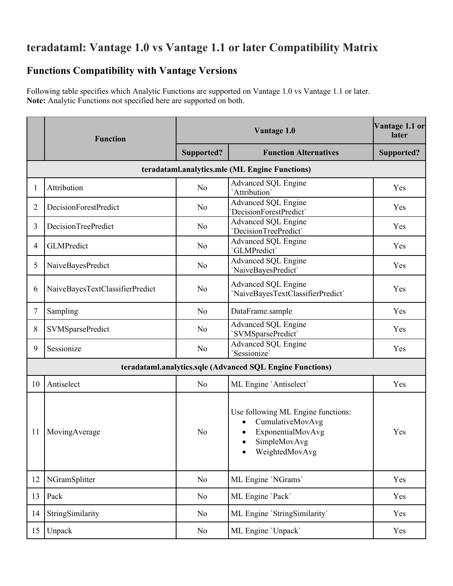# **teradataml: Vantage 1.0 vs Vantage 1.1 or later Compatibility Matrix**

## **Functions Compatibility with Vantage Versions**

Following table specifies which Analytic Functions are supported on Vantage 1.0 vs Vantage 1.1 or later. **Note:** Analytic Functions not specified here are supported on both.

|                | <b>Function</b>                                           |                | Vantage 1.1 or<br>later                                                                                                    |            |  |  |  |  |  |
|----------------|-----------------------------------------------------------|----------------|----------------------------------------------------------------------------------------------------------------------------|------------|--|--|--|--|--|
|                |                                                           | Supported?     | <b>Function Alternatives</b>                                                                                               | Supported? |  |  |  |  |  |
|                | teradataml.analytics.mle (ML Engine Functions)            |                |                                                                                                                            |            |  |  |  |  |  |
| 1              | Attribution                                               | No             | Advanced SQL Engine<br>'Attribution'                                                                                       | Yes        |  |  |  |  |  |
| $\overline{2}$ | DecisionForestPredict                                     | No             | <b>Advanced SQL Engine</b><br>DecisionForestPredict`                                                                       | Yes        |  |  |  |  |  |
| 3              | DecisionTreePredict                                       | No             | <b>Advanced SQL Engine</b><br>'DecisionTreePredict'                                                                        | Yes        |  |  |  |  |  |
| 4              | GLMPredict                                                | No             | Advanced SQL Engine<br>'GLMPredict'                                                                                        | Yes        |  |  |  |  |  |
| 5              | NaiveBayesPredict                                         | No             | <b>Advanced SQL Engine</b><br>'NaiveBayesPredict'                                                                          | Yes        |  |  |  |  |  |
| 6              | NaiveBayesTextClassifierPredict                           | No             | Advanced SQL Engine<br>'NaiveBayesTextClassifierPredict'                                                                   | Yes        |  |  |  |  |  |
| 7              | Sampling                                                  | No             | DataFrame.sample                                                                                                           | Yes        |  |  |  |  |  |
| 8              | <b>SVMSparsePredict</b>                                   | No             | <b>Advanced SQL Engine</b><br>'SVMSparsePredict'                                                                           | Yes        |  |  |  |  |  |
| 9              | Sessionize                                                | No             | <b>Advanced SQL Engine</b><br>'Sessionize'                                                                                 | Yes        |  |  |  |  |  |
|                | teradataml.analytics.sqle (Advanced SQL Engine Functions) |                |                                                                                                                            |            |  |  |  |  |  |
| 10             | Antiselect                                                | No             | ML Engine 'Antiselect'                                                                                                     | Yes        |  |  |  |  |  |
| 11             | MovingAverage                                             | N <sub>o</sub> | Use following ML Engine functions:<br>CumulativeMovAvg<br>$\bullet$<br>ExponentialMovAvg<br>SimpleMovAvg<br>WeightedMovAvg | Yes        |  |  |  |  |  |
| 12             | NGramSplitter                                             | No             | ML Engine 'NGrams'                                                                                                         | Yes        |  |  |  |  |  |
| 13             | Pack                                                      | No             | ML Engine 'Pack'                                                                                                           | Yes        |  |  |  |  |  |
| 14             | StringSimilarity                                          | No             | ML Engine 'StringSimilarity'                                                                                               | Yes        |  |  |  |  |  |
| 15             | Unpack                                                    | No             | ML Engine 'Unpack'                                                                                                         | Yes        |  |  |  |  |  |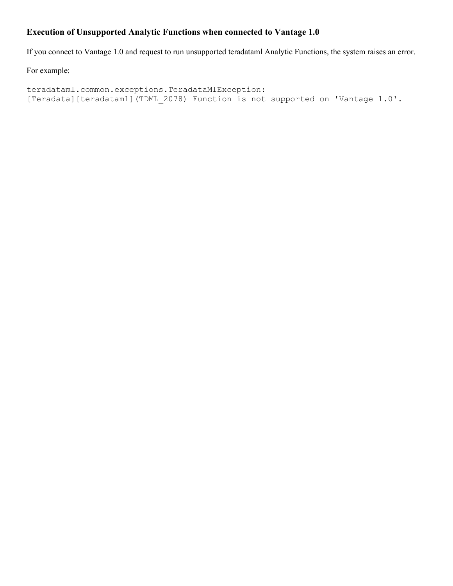#### **Execution of Unsupported Analytic Functions when connected to Vantage 1.0**

If you connect to Vantage 1.0 and request to run unsupported teradataml Analytic Functions, the system raises an error.

For example:

teradataml.common.exceptions.TeradataMlException: [Teradata][teradataml](TDML\_2078) Function is not supported on 'Vantage 1.0'.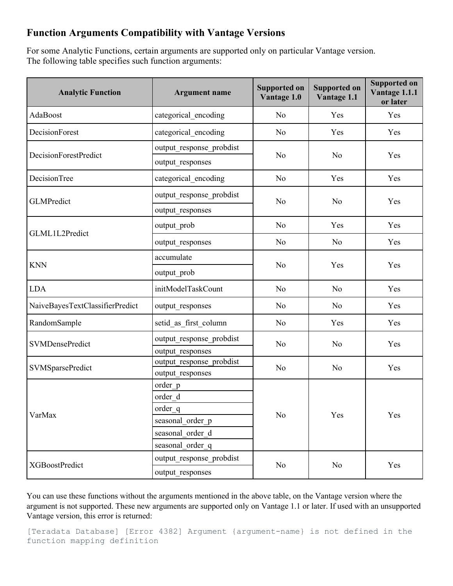### **Function Arguments Compatibility with Vantage Versions**

For some Analytic Functions, certain arguments are supported only on particular Vantage version. The following table specifies such function arguments:

| <b>Analytic Function</b>        | <b>Argument name</b>     | <b>Supported on</b><br>Vantage 1.0                                                                                                           | <b>Supported on</b><br>Vantage 1.1 | <b>Supported on</b><br>Vantage 1.1.1<br>or later |  |
|---------------------------------|--------------------------|----------------------------------------------------------------------------------------------------------------------------------------------|------------------------------------|--------------------------------------------------|--|
| AdaBoost                        | categorical encoding     | N <sub>o</sub>                                                                                                                               | Yes                                | Yes                                              |  |
| DecisionForest                  | categorical encoding     | No                                                                                                                                           | Yes                                | Yes                                              |  |
|                                 | output response probdist |                                                                                                                                              | No                                 | Yes                                              |  |
| DecisionForestPredict           | output responses         |                                                                                                                                              |                                    |                                                  |  |
| DecisionTree                    | categorical encoding     | N <sub>o</sub>                                                                                                                               | Yes                                | Yes                                              |  |
| <b>GLMPredict</b>               | output response probdist |                                                                                                                                              | No                                 | Yes                                              |  |
|                                 | output responses         |                                                                                                                                              |                                    |                                                  |  |
|                                 | output prob              | N <sub>o</sub><br>N <sub>o</sub><br>N <sub>o</sub><br>No<br>No<br>N <sub>o</sub><br>N <sub>o</sub><br>N <sub>o</sub><br>No<br>No<br>No<br>No | Yes                                | Yes                                              |  |
| GLML1L2Predict                  | output responses         |                                                                                                                                              | No                                 | Yes                                              |  |
|                                 | accumulate               |                                                                                                                                              |                                    | Yes                                              |  |
| <b>KNN</b>                      | output prob              |                                                                                                                                              | Yes                                |                                                  |  |
| <b>LDA</b>                      | initModelTaskCount       |                                                                                                                                              | N <sub>o</sub>                     | Yes                                              |  |
| NaiveBayesTextClassifierPredict | output responses         |                                                                                                                                              | No                                 | Yes                                              |  |
| RandomSample                    | setid as first column    |                                                                                                                                              | Yes                                | Yes                                              |  |
| <b>SVMDensePredict</b>          | output response probdist |                                                                                                                                              | N <sub>o</sub>                     | Yes                                              |  |
|                                 | output responses         |                                                                                                                                              |                                    |                                                  |  |
| <b>SVMSparsePredict</b>         | output response probdist |                                                                                                                                              | N <sub>o</sub>                     | Yes                                              |  |
|                                 | output responses         |                                                                                                                                              |                                    |                                                  |  |
|                                 | order p<br>order d       |                                                                                                                                              | Yes                                | Yes                                              |  |
|                                 | order_q                  |                                                                                                                                              |                                    |                                                  |  |
| VarMax                          | seasonal order p         |                                                                                                                                              |                                    |                                                  |  |
|                                 | seasonal order d         |                                                                                                                                              |                                    |                                                  |  |
|                                 | seasonal order q         |                                                                                                                                              |                                    |                                                  |  |
|                                 | output response_probdist |                                                                                                                                              |                                    |                                                  |  |
| XGBoostPredict                  | output responses         |                                                                                                                                              | N <sub>o</sub>                     | Yes                                              |  |

You can use these functions without the arguments mentioned in the above table, on the Vantage version where the argument is not supported. These new arguments are supported only on Vantage 1.1 or later. If used with an unsupported Vantage version, this error is returned:

[Teradata Database] [Error 4382] Argument {argument-name} is not defined in the function mapping definition